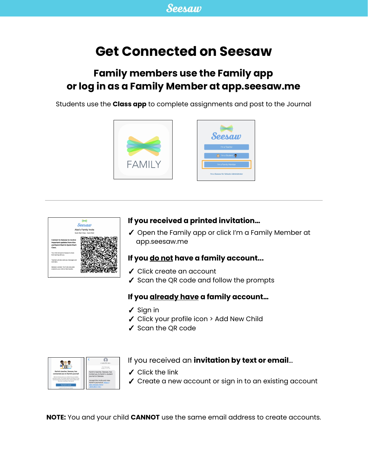# **Get Connected on Seesaw**

# **Family members use the Family app or log in as a Family Member at app.seesaw.me**

Students use the **Class app** to complete assignments and post to the Journal





#### **If you received a printed invitation…**

✓ Open the Family app or click I'm a Family Member at app.seesaw.me

#### **If you do not have a family account...**

- ✓ Click create an account
- ✓ Scan the QR code and follow the prompts

#### **If you already have a family account…**

- ✓ Sign in
- ✓ Click your profile icon > Add New Child
- ✓ Scan the QR code



#### If you received an **invitation by text or email**…

- $\checkmark$  Click the link
- ✓ Create a new account or sign in to an existing account

**NOTE:** You and your child **CANNOT** use the same email address to create accounts.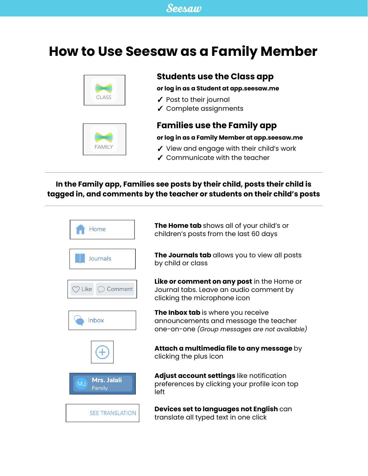# **How to Use Seesaw as a Family Member**



# **FAMILY**

## **Students use the Class app**

**or log in as a Student at app.seesaw.me**

- ✓ Post to their journal
- ✓ Complete assignments

## **Families use the Family app**

#### **or log in as a Family Member at app.seesaw.me**

- ✓ View and engage with their child's work
- ✓ Communicate with the teacher

### **In the Family app, Families see posts by their child, posts their child is tagged in, and comments by the teacher or students on their child's posts**